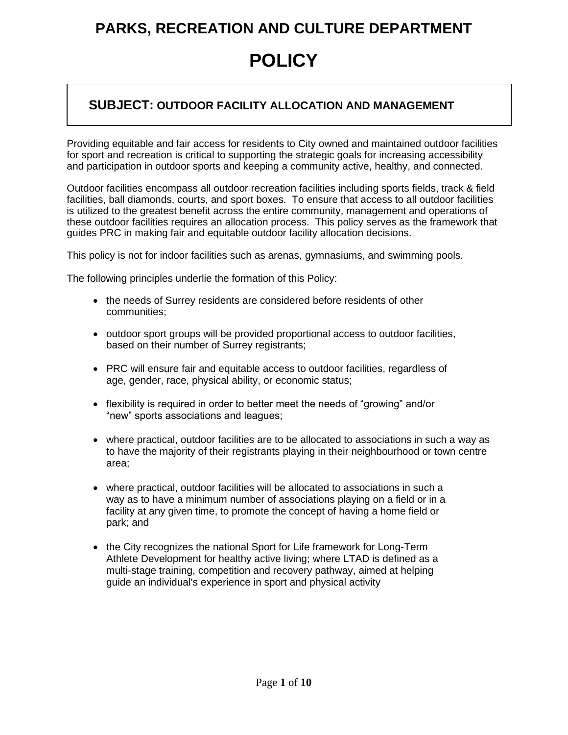### **POLICY**

#### **SUBJECT: OUTDOOR FACILITY ALLOCATION AND MANAGEMENT**

Providing equitable and fair access for residents to City owned and maintained outdoor facilities for sport and recreation is critical to supporting the strategic goals for increasing accessibility and participation in outdoor sports and keeping a community active, healthy, and connected.

Outdoor facilities encompass all outdoor recreation facilities including sports fields, track & field facilities, ball diamonds, courts, and sport boxes. To ensure that access to all outdoor facilities is utilized to the greatest benefit across the entire community, management and operations of these outdoor facilities requires an allocation process. This policy serves as the framework that guides PRC in making fair and equitable outdoor facility allocation decisions.

This policy is not for indoor facilities such as arenas, gymnasiums, and swimming pools.

The following principles underlie the formation of this Policy:

- the needs of Surrey residents are considered before residents of other communities;
- outdoor sport groups will be provided proportional access to outdoor facilities, based on their number of Surrey registrants;
- PRC will ensure fair and equitable access to outdoor facilities, regardless of age, gender, race, physical ability, or economic status;
- flexibility is required in order to better meet the needs of "growing" and/or "new" sports associations and leagues;
- where practical, outdoor facilities are to be allocated to associations in such a way as to have the majority of their registrants playing in their neighbourhood or town centre area;
- where practical, outdoor facilities will be allocated to associations in such a way as to have a minimum number of associations playing on a field or in a facility at any given time, to promote the concept of having a home field or park; and
- the City recognizes the national Sport for Life framework for Long-Term Athlete Development for healthy active living; where LTAD is defined as a multi-stage training, competition and recovery pathway, aimed at helping guide an individual's experience in sport and physical activity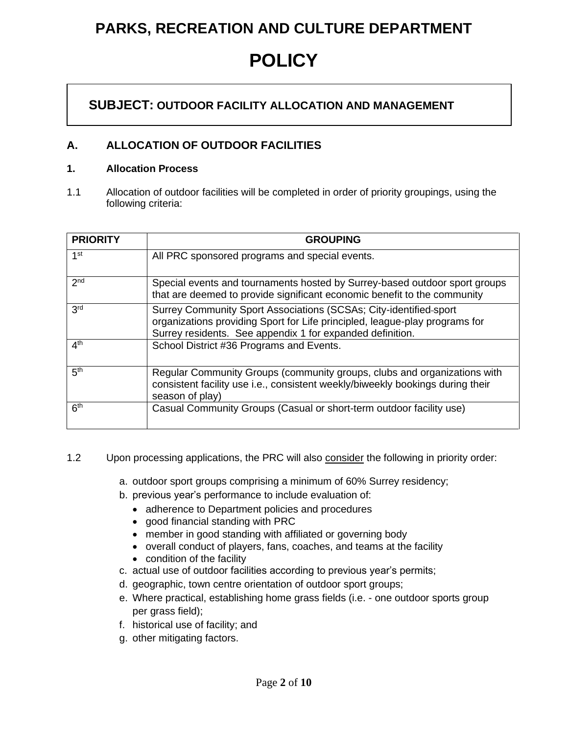### **POLICY**

#### **SUBJECT: OUTDOOR FACILITY ALLOCATION AND MANAGEMENT**

#### **A. ALLOCATION OF OUTDOOR FACILITIES**

#### **1. Allocation Process**

1.1 Allocation of outdoor facilities will be completed in order of priority groupings, using the following criteria:

| <b>PRIORITY</b> | <b>GROUPING</b>                                                                                                                                                                                               |
|-----------------|---------------------------------------------------------------------------------------------------------------------------------------------------------------------------------------------------------------|
| 1 <sup>st</sup> | All PRC sponsored programs and special events.                                                                                                                                                                |
| 2 <sub>nd</sub> | Special events and tournaments hosted by Surrey-based outdoor sport groups<br>that are deemed to provide significant economic benefit to the community                                                        |
| 3 <sup>rd</sup> | Surrey Community Sport Associations (SCSAs; City-identified-sport<br>organizations providing Sport for Life principled, league-play programs for<br>Surrey residents. See appendix 1 for expanded definition. |
| 4 <sup>th</sup> | School District #36 Programs and Events.                                                                                                                                                                      |
| 5 <sup>th</sup> | Regular Community Groups (community groups, clubs and organizations with<br>consistent facility use i.e., consistent weekly/biweekly bookings during their<br>season of play)                                 |
| 6 <sup>th</sup> | Casual Community Groups (Casual or short-term outdoor facility use)                                                                                                                                           |

#### 1.2 Upon processing applications, the PRC will also consider the following in priority order:

- a. outdoor sport groups comprising a minimum of 60% Surrey residency;
- b. previous year's performance to include evaluation of:
	- adherence to Department policies and procedures
	- good financial standing with PRC
	- member in good standing with affiliated or governing body
	- overall conduct of players, fans, coaches, and teams at the facility
	- condition of the facility
- c. actual use of outdoor facilities according to previous year's permits;
- d. geographic, town centre orientation of outdoor sport groups;
- e. Where practical, establishing home grass fields (i.e. one outdoor sports group per grass field);
- f. historical use of facility; and
- g. other mitigating factors.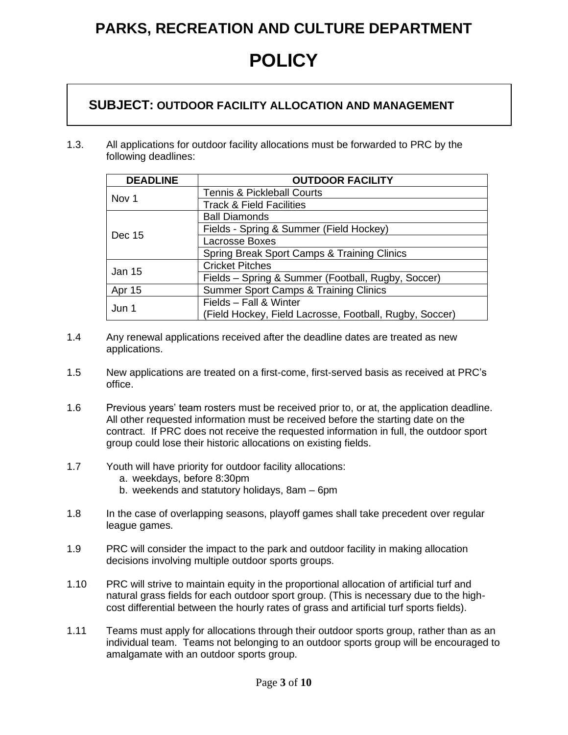**POLICY**

#### **SUBJECT: OUTDOOR FACILITY ALLOCATION AND MANAGEMENT**

1.3. All applications for outdoor facility allocations must be forwarded to PRC by the following deadlines:

| <b>DEADLINE</b> | <b>OUTDOOR FACILITY</b>                                 |  |
|-----------------|---------------------------------------------------------|--|
|                 | <b>Tennis &amp; Pickleball Courts</b>                   |  |
| Nov 1           | <b>Track &amp; Field Facilities</b>                     |  |
|                 | <b>Ball Diamonds</b>                                    |  |
| Dec 15          | Fields - Spring & Summer (Field Hockey)                 |  |
|                 | Lacrosse Boxes                                          |  |
|                 | Spring Break Sport Camps & Training Clinics             |  |
| <b>Jan 15</b>   | <b>Cricket Pitches</b>                                  |  |
|                 | Fields - Spring & Summer (Football, Rugby, Soccer)      |  |
| Apr 15          | Summer Sport Camps & Training Clinics                   |  |
| Jun 1           | Fields - Fall & Winter                                  |  |
|                 | (Field Hockey, Field Lacrosse, Football, Rugby, Soccer) |  |

- 1.4 Any renewal applications received after the deadline dates are treated as new applications.
- 1.5 New applications are treated on a first-come, first-served basis as received at PRC's office.
- 1.6 Previous years' team rosters must be received prior to, or at, the application deadline. All other requested information must be received before the starting date on the contract. If PRC does not receive the requested information in full, the outdoor sport group could lose their historic allocations on existing fields.
- 1.7 Youth will have priority for outdoor facility allocations:
	- a. weekdays, before 8:30pm
	- b. weekends and statutory holidays, 8am 6pm
- 1.8 In the case of overlapping seasons, playoff games shall take precedent over regular league games.
- 1.9 PRC will consider the impact to the park and outdoor facility in making allocation decisions involving multiple outdoor sports groups.
- 1.10 PRC will strive to maintain equity in the proportional allocation of artificial turf and natural grass fields for each outdoor sport group. (This is necessary due to the highcost differential between the hourly rates of grass and artificial turf sports fields).
- 1.11 Teams must apply for allocations through their outdoor sports group, rather than as an individual team. Teams not belonging to an outdoor sports group will be encouraged to amalgamate with an outdoor sports group.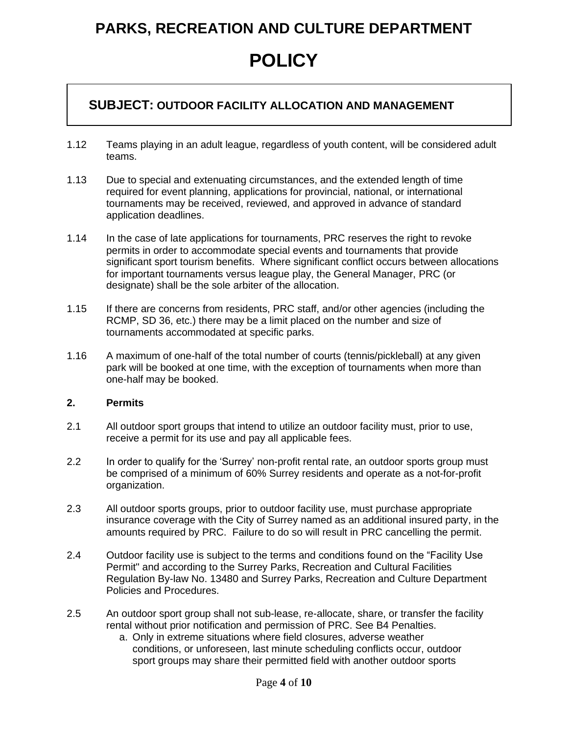### **POLICY**

#### **SUBJECT: OUTDOOR FACILITY ALLOCATION AND MANAGEMENT**

- 1.12 Teams playing in an adult league, regardless of youth content, will be considered adult teams.
- 1.13 Due to special and extenuating circumstances, and the extended length of time required for event planning, applications for provincial, national, or international tournaments may be received, reviewed, and approved in advance of standard application deadlines.
- 1.14 In the case of late applications for tournaments, PRC reserves the right to revoke permits in order to accommodate special events and tournaments that provide significant sport tourism benefits. Where significant conflict occurs between allocations for important tournaments versus league play, the General Manager, PRC (or designate) shall be the sole arbiter of the allocation.
- 1.15 If there are concerns from residents, PRC staff, and/or other agencies (including the RCMP, SD 36, etc.) there may be a limit placed on the number and size of tournaments accommodated at specific parks.
- 1.16 A maximum of one-half of the total number of courts (tennis/pickleball) at any given park will be booked at one time, with the exception of tournaments when more than one-half may be booked.

#### **2. Permits**

- 2.1 All outdoor sport groups that intend to utilize an outdoor facility must, prior to use, receive a permit for its use and pay all applicable fees.
- 2.2 In order to qualify for the 'Surrey' non-profit rental rate, an outdoor sports group must be comprised of a minimum of 60% Surrey residents and operate as a not-for-profit organization.
- 2.3 All outdoor sports groups, prior to outdoor facility use, must purchase appropriate insurance coverage with the City of Surrey named as an additional insured party, in the amounts required by PRC. Failure to do so will result in PRC cancelling the permit.
- 2.4 Outdoor facility use is subject to the terms and conditions found on the "Facility Use Permit" and according to the Surrey Parks, Recreation and Cultural Facilities Regulation By-law No. 13480 and Surrey Parks, Recreation and Culture Department Policies and Procedures.
- 2.5 An outdoor sport group shall not sub-lease, re-allocate, share, or transfer the facility rental without prior notification and permission of PRC. See B4 Penalties.
	- a. Only in extreme situations where field closures, adverse weather conditions, or unforeseen, last minute scheduling conflicts occur, outdoor sport groups may share their permitted field with another outdoor sports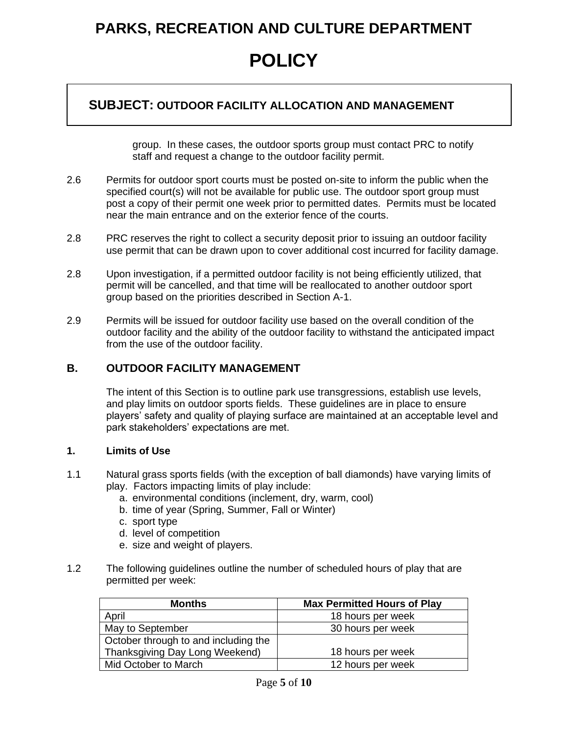### **POLICY**

#### **SUBJECT: OUTDOOR FACILITY ALLOCATION AND MANAGEMENT**

group. In these cases, the outdoor sports group must contact PRC to notify staff and request a change to the outdoor facility permit.

- 2.6 Permits for outdoor sport courts must be posted on-site to inform the public when the specified court(s) will not be available for public use. The outdoor sport group must post a copy of their permit one week prior to permitted dates. Permits must be located near the main entrance and on the exterior fence of the courts.
- 2.8 PRC reserves the right to collect a security deposit prior to issuing an outdoor facility use permit that can be drawn upon to cover additional cost incurred for facility damage.
- 2.8 Upon investigation, if a permitted outdoor facility is not being efficiently utilized, that permit will be cancelled, and that time will be reallocated to another outdoor sport group based on the priorities described in Section A-1.
- 2.9 Permits will be issued for outdoor facility use based on the overall condition of the outdoor facility and the ability of the outdoor facility to withstand the anticipated impact from the use of the outdoor facility.

#### **B. OUTDOOR FACILITY MANAGEMENT**

The intent of this Section is to outline park use transgressions, establish use levels, and play limits on outdoor sports fields. These guidelines are in place to ensure players' safety and quality of playing surface are maintained at an acceptable level and park stakeholders' expectations are met.

#### **1. Limits of Use**

- 1.1 Natural grass sports fields (with the exception of ball diamonds) have varying limits of play. Factors impacting limits of play include:
	- a. environmental conditions (inclement, dry, warm, cool)
	- b. time of year (Spring, Summer, Fall or Winter)
	- c. sport type
	- d. level of competition
	- e. size and weight of players.
- 1.2 The following guidelines outline the number of scheduled hours of play that are permitted per week:

| <b>Months</b>                        | <b>Max Permitted Hours of Play</b> |
|--------------------------------------|------------------------------------|
| April                                | 18 hours per week                  |
| May to September                     | 30 hours per week                  |
| October through to and including the |                                    |
| Thanksgiving Day Long Weekend)       | 18 hours per week                  |
| Mid October to March                 | 12 hours per week                  |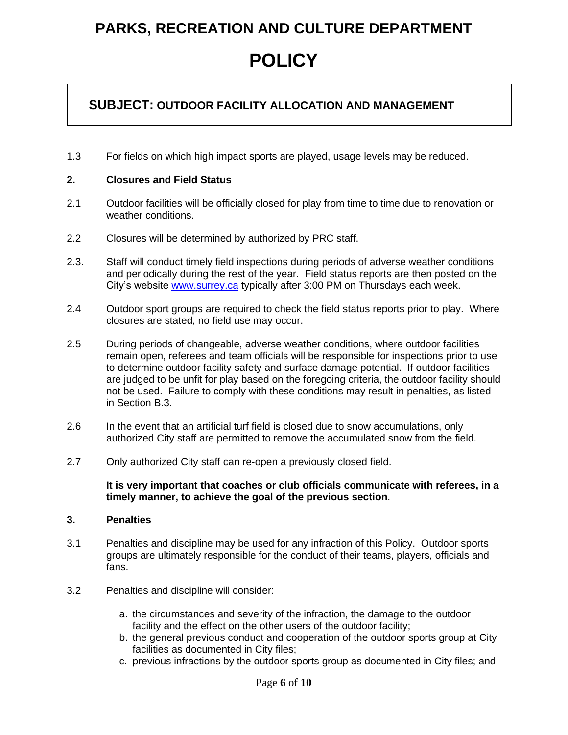#### **SUBJECT: OUTDOOR FACILITY ALLOCATION AND MANAGEMENT**

1.3 For fields on which high impact sports are played, usage levels may be reduced.

#### **2. Closures and Field Status**

- 2.1 Outdoor facilities will be officially closed for play from time to time due to renovation or weather conditions.
- 2.2 Closures will be determined by authorized by PRC staff.
- 2.3. Staff will conduct timely field inspections during periods of adverse weather conditions and periodically during the rest of the year. Field status reports are then posted on the City's website www.surrey.ca typically after 3:00 PM on Thursdays each week.
- 2.4 Outdoor sport groups are required to check the field status reports prior to play. Where closures are stated, no field use may occur.
- 2.5 During periods of changeable, adverse weather conditions, where outdoor facilities remain open, referees and team officials will be responsible for inspections prior to use to determine outdoor facility safety and surface damage potential. If outdoor facilities are judged to be unfit for play based on the foregoing criteria, the outdoor facility should not be used. Failure to comply with these conditions may result in penalties, as listed in Section B.3.
- 2.6 In the event that an artificial turf field is closed due to snow accumulations, only authorized City staff are permitted to remove the accumulated snow from the field.
- 2.7 Only authorized City staff can re-open a previously closed field.

**It is very important that coaches or club officials communicate with referees, in a timely manner, to achieve the goal of the previous section**.

#### **3. Penalties**

- 3.1 Penalties and discipline may be used for any infraction of this Policy. Outdoor sports groups are ultimately responsible for the conduct of their teams, players, officials and fans.
- 3.2 Penalties and discipline will consider:
	- a. the circumstances and severity of the infraction, the damage to the outdoor facility and the effect on the other users of the outdoor facility;
	- b. the general previous conduct and cooperation of the outdoor sports group at City facilities as documented in City files;
	- c. previous infractions by the outdoor sports group as documented in City files; and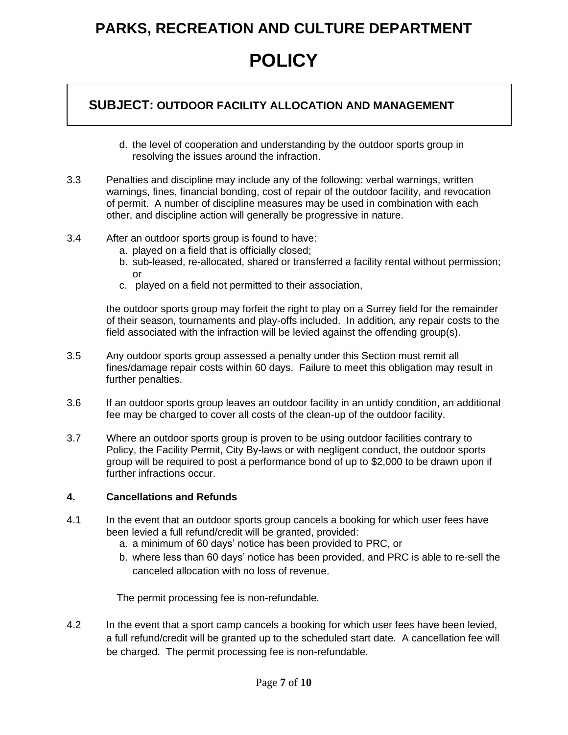#### **SUBJECT: OUTDOOR FACILITY ALLOCATION AND MANAGEMENT**

- d. the level of cooperation and understanding by the outdoor sports group in resolving the issues around the infraction.
- 3.3 Penalties and discipline may include any of the following: verbal warnings, written warnings, fines, financial bonding, cost of repair of the outdoor facility, and revocation of permit. A number of discipline measures may be used in combination with each other, and discipline action will generally be progressive in nature.
- 3.4 After an outdoor sports group is found to have:
	- a. played on a field that is officially closed;
	- b. sub-leased, re-allocated, shared or transferred a facility rental without permission; or
	- c. played on a field not permitted to their association,

the outdoor sports group may forfeit the right to play on a Surrey field for the remainder of their season, tournaments and play-offs included. In addition, any repair costs to the field associated with the infraction will be levied against the offending group(s).

- 3.5 Any outdoor sports group assessed a penalty under this Section must remit all fines/damage repair costs within 60 days. Failure to meet this obligation may result in further penalties.
- 3.6 If an outdoor sports group leaves an outdoor facility in an untidy condition, an additional fee may be charged to cover all costs of the clean-up of the outdoor facility.
- 3.7 Where an outdoor sports group is proven to be using outdoor facilities contrary to Policy, the Facility Permit, City By-laws or with negligent conduct, the outdoor sports group will be required to post a performance bond of up to \$2,000 to be drawn upon if further infractions occur.

#### **4. Cancellations and Refunds**

- 4.1 In the event that an outdoor sports group cancels a booking for which user fees have been levied a full refund/credit will be granted, provided:
	- a. a minimum of 60 days' notice has been provided to PRC, or
	- b. where less than 60 days' notice has been provided, and PRC is able to re-sell the canceled allocation with no loss of revenue.

The permit processing fee is non-refundable.

4.2 In the event that a sport camp cancels a booking for which user fees have been levied, a full refund/credit will be granted up to the scheduled start date. A cancellation fee will be charged. The permit processing fee is non-refundable.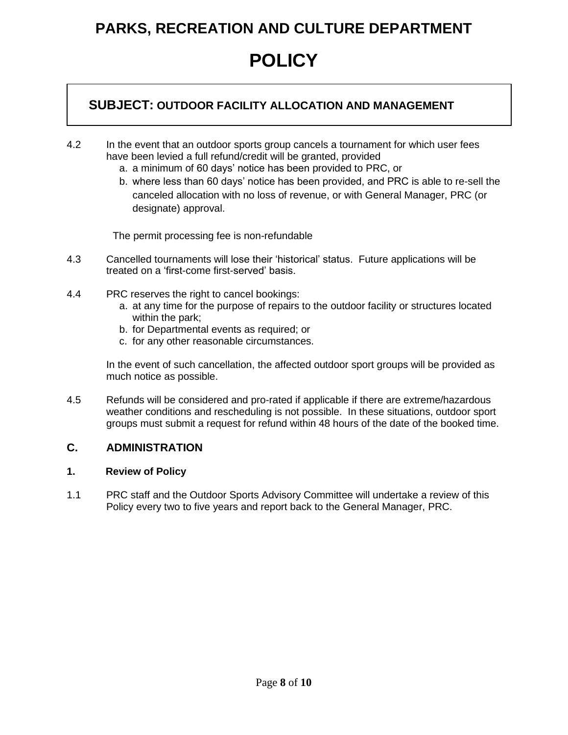### **POLICY**

#### **SUBJECT: OUTDOOR FACILITY ALLOCATION AND MANAGEMENT**

- 4.2 In the event that an outdoor sports group cancels a tournament for which user fees have been levied a full refund/credit will be granted, provided
	- a. a minimum of 60 days' notice has been provided to PRC, or
	- b. where less than 60 days' notice has been provided, and PRC is able to re-sell the canceled allocation with no loss of revenue, or with General Manager, PRC (or designate) approval.

The permit processing fee is non-refundable

- 4.3 Cancelled tournaments will lose their 'historical' status. Future applications will be treated on a 'first-come first-served' basis.
- 4.4 PRC reserves the right to cancel bookings:
	- a. at any time for the purpose of repairs to the outdoor facility or structures located within the park;
	- b. for Departmental events as required; or
	- c. for any other reasonable circumstances.

In the event of such cancellation, the affected outdoor sport groups will be provided as much notice as possible.

4.5 Refunds will be considered and pro-rated if applicable if there are extreme/hazardous weather conditions and rescheduling is not possible. In these situations, outdoor sport groups must submit a request for refund within 48 hours of the date of the booked time.

#### **C. ADMINISTRATION**

#### **1. Review of Policy**

1.1 PRC staff and the Outdoor Sports Advisory Committee will undertake a review of this Policy every two to five years and report back to the General Manager, PRC.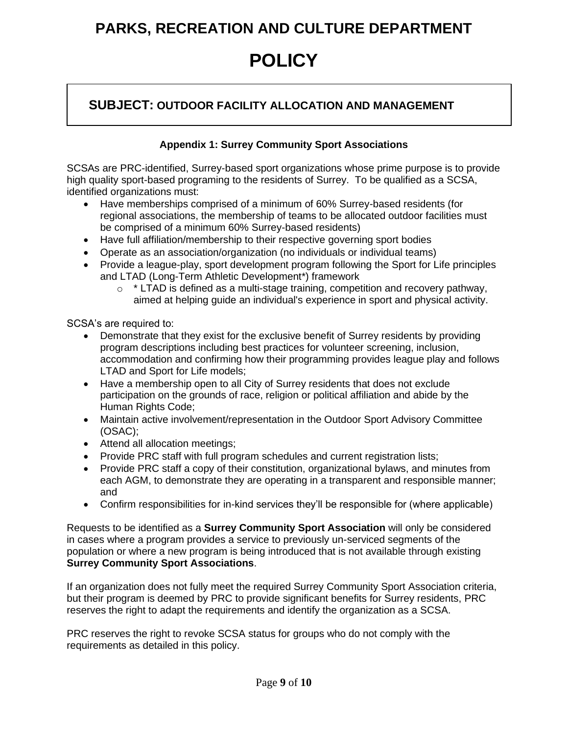### **POLICY**

#### **SUBJECT: OUTDOOR FACILITY ALLOCATION AND MANAGEMENT**

#### **Appendix 1: Surrey Community Sport Associations**

SCSAs are PRC-identified, Surrey-based sport organizations whose prime purpose is to provide high quality sport-based programing to the residents of Surrey. To be qualified as a SCSA, identified organizations must:

- Have memberships comprised of a minimum of 60% Surrey-based residents (for regional associations, the membership of teams to be allocated outdoor facilities must be comprised of a minimum 60% Surrey-based residents)
- Have full affiliation/membership to their respective governing sport bodies
- Operate as an association/organization (no individuals or individual teams)
- Provide a league-play, sport development program following the Sport for Life principles and LTAD (Long-Term Athletic Development\*) framework
	- $\circ$  \* LTAD is defined as a multi-stage training, competition and recovery pathway, aimed at helping guide an individual's experience in sport and physical activity.

SCSA's are required to:

- Demonstrate that they exist for the exclusive benefit of Surrey residents by providing program descriptions including best practices for volunteer screening, inclusion, accommodation and confirming how their programming provides league play and follows LTAD and Sport for Life models;
- Have a membership open to all City of Surrey residents that does not exclude participation on the grounds of race, religion or political affiliation and abide by the Human Rights Code;
- Maintain active involvement/representation in the Outdoor Sport Advisory Committee (OSAC);
- Attend all allocation meetings;
- Provide PRC staff with full program schedules and current registration lists;
- Provide PRC staff a copy of their constitution, organizational bylaws, and minutes from each AGM, to demonstrate they are operating in a transparent and responsible manner; and
- Confirm responsibilities for in-kind services they'll be responsible for (where applicable)

Requests to be identified as a **Surrey Community Sport Association** will only be considered in cases where a program provides a service to previously un-serviced segments of the population or where a new program is being introduced that is not available through existing **Surrey Community Sport Associations**.

If an organization does not fully meet the required Surrey Community Sport Association criteria, but their program is deemed by PRC to provide significant benefits for Surrey residents, PRC reserves the right to adapt the requirements and identify the organization as a SCSA.

PRC reserves the right to revoke SCSA status for groups who do not comply with the requirements as detailed in this policy.